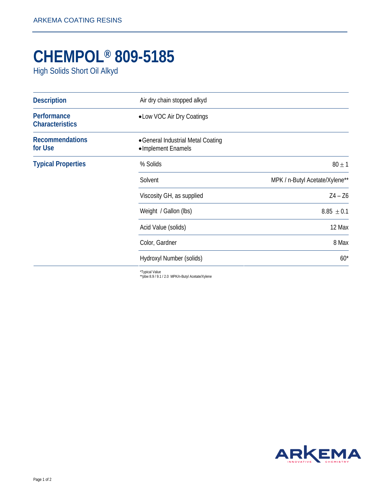## **CHEMPOL® 809-5185**

High Solids Short Oil Alkyd

| <b>Description</b>                    | Air dry chain stopped alkyd                              |                                |
|---------------------------------------|----------------------------------------------------------|--------------------------------|
| Performance<br><b>Characteristics</b> | • Low VOC Air Dry Coatings                               |                                |
| <b>Recommendations</b><br>for Use     | • General Industrial Metal Coating<br>•Implement Enamels |                                |
| <b>Typical Properties</b>             | % Solids                                                 | $80 \pm 1$                     |
|                                       | Solvent                                                  | MPK / n-Butyl Acetate/Xylene** |
|                                       | Viscosity GH, as supplied                                | $Z4 - Z6$                      |
|                                       | Weight / Gallon (lbs)                                    | $8.85 \pm 0.1$                 |
|                                       | Acid Value (solids)                                      | 12 Max                         |
|                                       | Color, Gardner                                           | 8 Max                          |
|                                       | Hydroxyl Number (solids)                                 | $60*$                          |

\*Typical Value \*\*pbw 8.9 / 9.1 / 2.0 MPK/n-Butyl Acetate/Xylene